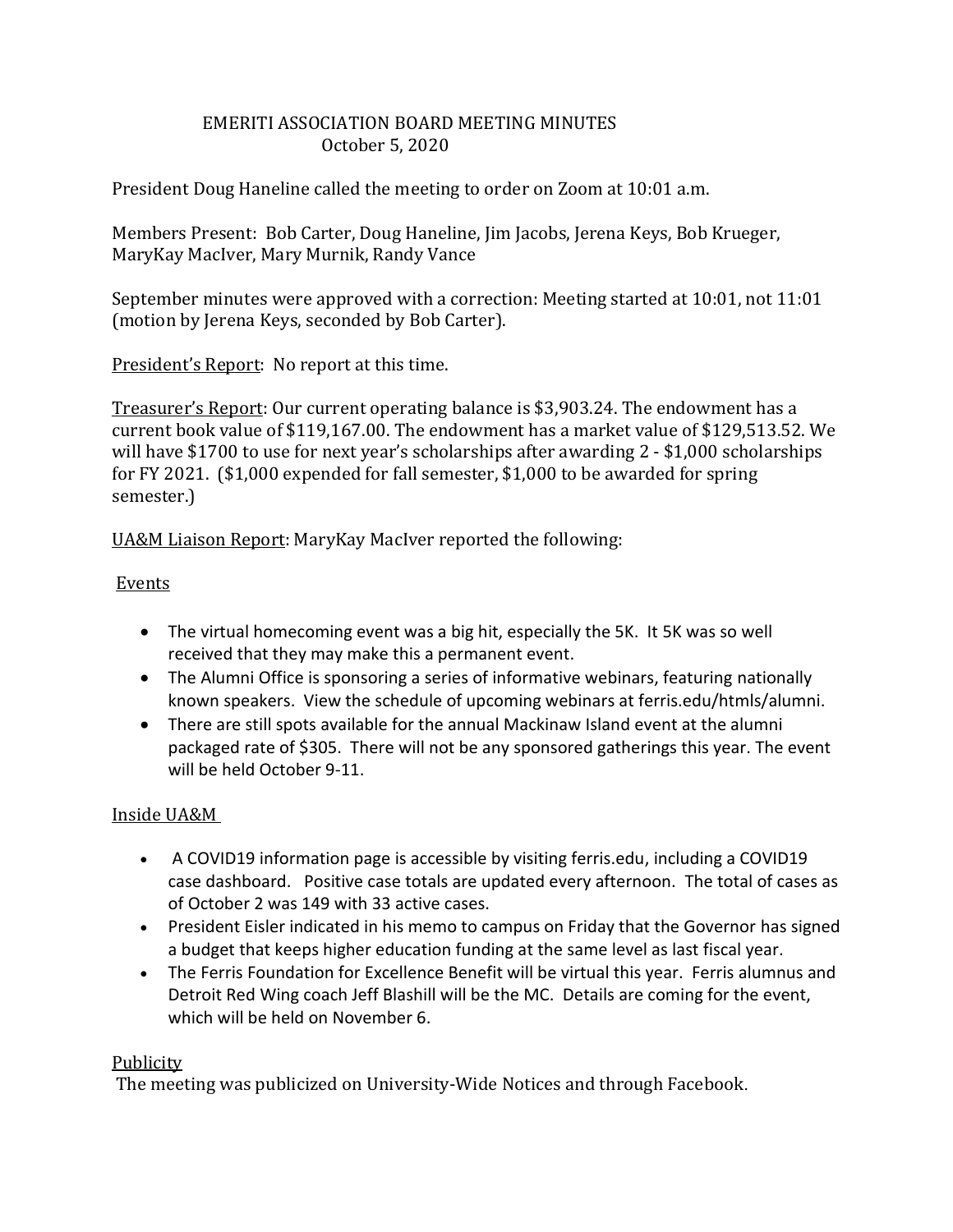# EMERITI ASSOCIATION BOARD MEETING MINUTES October 5, 2020

President Doug Haneline called the meeting to order on Zoom at 10:01 a.m.

Members Present: Bob Carter, Doug Haneline, Jim Jacobs, Jerena Keys, Bob Krueger, MaryKay MacIver, Mary Murnik, Randy Vance

September minutes were approved with a correction: Meeting started at 10:01, not 11:01 (motion by Jerena Keys, seconded by Bob Carter).

President's Report: No report at this time.

Treasurer's Report: Our current operating balance is \$3,903.24. The endowment has a current book value of \$119,167.00. The endowment has a market value of \$129,513.52. We will have \$1700 to use for next year's scholarships after awarding 2 - \$1,000 scholarships for FY 2021. (\$1,000 expended for fall semester, \$1,000 to be awarded for spring semester.)

UA&M Liaison Report: MaryKay MacIver reported the following:

### Events

- The virtual homecoming event was a big hit, especially the 5K. It 5K was so well received that they may make this a permanent event.
- The Alumni Office is sponsoring a series of informative webinars, featuring nationally known speakers. View the schedule of upcoming webinars at ferris.edu/htmls/alumni.
- There are still spots available for the annual Mackinaw Island event at the alumni packaged rate of \$305. There will not be any sponsored gatherings this year. The event will be held October 9-11.

# Inside UA&M

- A COVID19 information page is accessible by visiting ferris.edu, including a COVID19 case dashboard. Positive case totals are updated every afternoon. The total of cases as of October 2 was 149 with 33 active cases.
- President Eisler indicated in his memo to campus on Friday that the Governor has signed a budget that keeps higher education funding at the same level as last fiscal year.
- The Ferris Foundation for Excellence Benefit will be virtual this year. Ferris alumnus and Detroit Red Wing coach Jeff Blashill will be the MC. Details are coming for the event, which will be held on November 6.

### Publicity

The meeting was publicized on University-Wide Notices and through Facebook.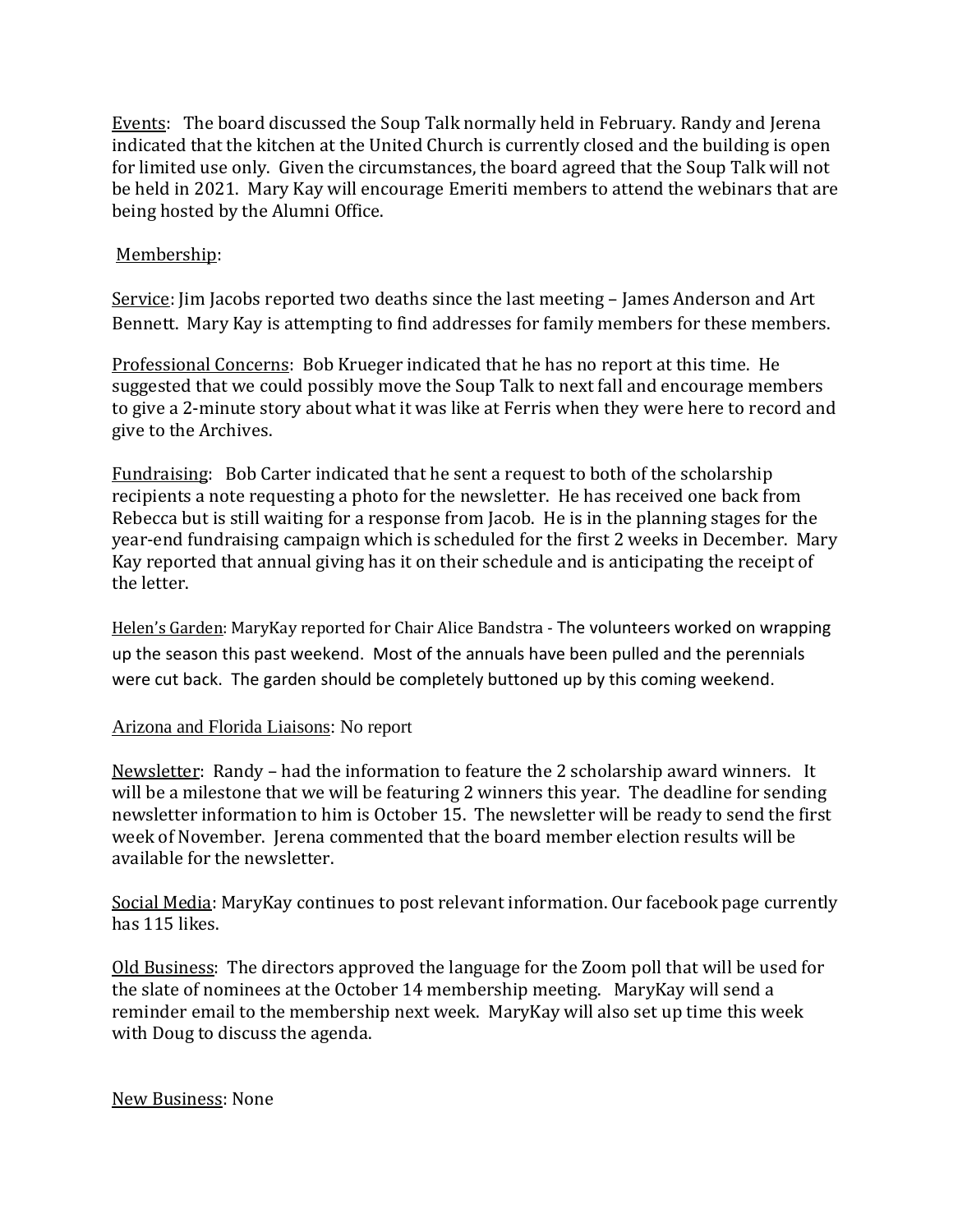Events: The board discussed the Soup Talk normally held in February. Randy and Jerena indicated that the kitchen at the United Church is currently closed and the building is open for limited use only. Given the circumstances, the board agreed that the Soup Talk will not be held in 2021. Mary Kay will encourage Emeriti members to attend the webinars that are being hosted by the Alumni Office.

# Membership:

Service: Jim Jacobs reported two deaths since the last meeting - James Anderson and Art Bennett. Mary Kay is attempting to find addresses for family members for these members.

Professional Concerns: Bob Krueger indicated that he has no report at this time. He suggested that we could possibly move the Soup Talk to next fall and encourage members to give a 2-minute story about what it was like at Ferris when they were here to record and give to the Archives.

Fundraising: Bob Carter indicated that he sent a request to both of the scholarship recipients a note requesting a photo for the newsletter. He has received one back from Rebecca but is still waiting for a response from Jacob. He is in the planning stages for the year-end fundraising campaign which is scheduled for the first 2 weeks in December. Mary Kay reported that annual giving has it on their schedule and is anticipating the receipt of the letter.

Helen's Garden: MaryKay reported for Chair Alice Bandstra - The volunteers worked on wrapping up the season this past weekend. Most of the annuals have been pulled and the perennials were cut back. The garden should be completely buttoned up by this coming weekend.

### Arizona and Florida Liaisons: No report

Newsletter: Randy – had the information to feature the 2 scholarship award winners. It will be a milestone that we will be featuring 2 winners this year. The deadline for sending newsletter information to him is October 15. The newsletter will be ready to send the first week of November. Jerena commented that the board member election results will be available for the newsletter.

Social Media: MaryKay continues to post relevant information. Our facebook page currently has 115 likes.

Old Business: The directors approved the language for the Zoom poll that will be used for the slate of nominees at the October 14 membership meeting. MaryKay will send a reminder email to the membership next week. MaryKay will also set up time this week with Doug to discuss the agenda.

### New Business: None